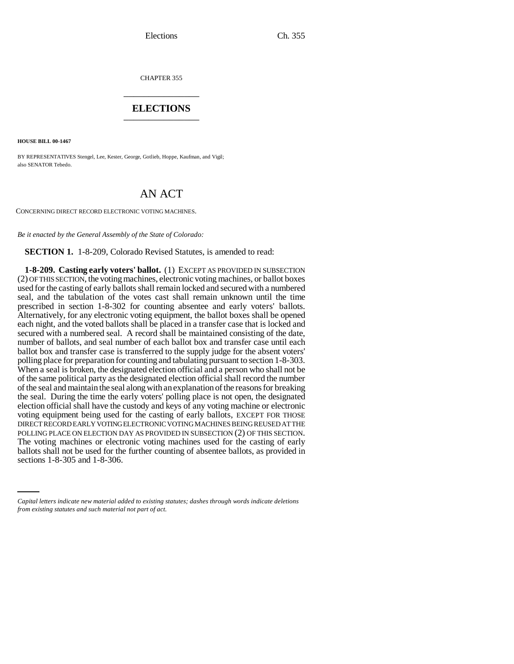CHAPTER 355 \_\_\_\_\_\_\_\_\_\_\_\_\_\_\_

## **ELECTIONS** \_\_\_\_\_\_\_\_\_\_\_\_\_\_\_

**HOUSE BILL 00-1467** 

BY REPRESENTATIVES Stengel, Lee, Kester, George, Gotlieb, Hoppe, Kaufman, and Vigil; also SENATOR Tebedo.

## AN ACT

CONCERNING DIRECT RECORD ELECTRONIC VOTING MACHINES.

*Be it enacted by the General Assembly of the State of Colorado:*

**SECTION 1.** 1-8-209, Colorado Revised Statutes, is amended to read:

ballots shall not be used for the further counting of absentee ballots, as provided in **1-8-209. Casting early voters' ballot.** (1) EXCEPT AS PROVIDED IN SUBSECTION (2) OF THIS SECTION, the voting machines, electronic voting machines, or ballot boxes used for the casting of early ballots shall remain locked and secured with a numbered seal, and the tabulation of the votes cast shall remain unknown until the time prescribed in section 1-8-302 for counting absentee and early voters' ballots. Alternatively, for any electronic voting equipment, the ballot boxes shall be opened each night, and the voted ballots shall be placed in a transfer case that is locked and secured with a numbered seal. A record shall be maintained consisting of the date, number of ballots, and seal number of each ballot box and transfer case until each ballot box and transfer case is transferred to the supply judge for the absent voters' polling place for preparation for counting and tabulating pursuant to section 1-8-303. When a seal is broken, the designated election official and a person who shall not be of the same political party as the designated election official shall record the number of the seal and maintain the seal along with an explanation of the reasons for breaking the seal. During the time the early voters' polling place is not open, the designated election official shall have the custody and keys of any voting machine or electronic voting equipment being used for the casting of early ballots, EXCEPT FOR THOSE DIRECT RECORD EARLY VOTING ELECTRONIC VOTING MACHINES BEING REUSED AT THE POLLING PLACE ON ELECTION DAY AS PROVIDED IN SUBSECTION (2) OF THIS SECTION. The voting machines or electronic voting machines used for the casting of early sections 1-8-305 and 1-8-306.

*Capital letters indicate new material added to existing statutes; dashes through words indicate deletions from existing statutes and such material not part of act.*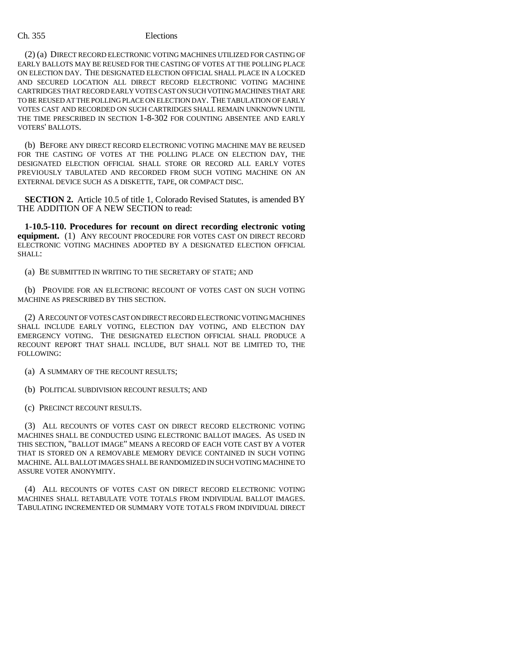## Ch. 355 Elections

(2) (a) DIRECT RECORD ELECTRONIC VOTING MACHINES UTILIZED FOR CASTING OF EARLY BALLOTS MAY BE REUSED FOR THE CASTING OF VOTES AT THE POLLING PLACE ON ELECTION DAY. THE DESIGNATED ELECTION OFFICIAL SHALL PLACE IN A LOCKED AND SECURED LOCATION ALL DIRECT RECORD ELECTRONIC VOTING MACHINE CARTRIDGES THAT RECORD EARLY VOTES CAST ON SUCH VOTING MACHINES THAT ARE TO BE REUSED AT THE POLLING PLACE ON ELECTION DAY. THE TABULATION OF EARLY VOTES CAST AND RECORDED ON SUCH CARTRIDGES SHALL REMAIN UNKNOWN UNTIL THE TIME PRESCRIBED IN SECTION 1-8-302 FOR COUNTING ABSENTEE AND EARLY VOTERS' BALLOTS.

(b) BEFORE ANY DIRECT RECORD ELECTRONIC VOTING MACHINE MAY BE REUSED FOR THE CASTING OF VOTES AT THE POLLING PLACE ON ELECTION DAY, THE DESIGNATED ELECTION OFFICIAL SHALL STORE OR RECORD ALL EARLY VOTES PREVIOUSLY TABULATED AND RECORDED FROM SUCH VOTING MACHINE ON AN EXTERNAL DEVICE SUCH AS A DISKETTE, TAPE, OR COMPACT DISC.

**SECTION 2.** Article 10.5 of title 1, Colorado Revised Statutes, is amended BY THE ADDITION OF A NEW SECTION to read:

**1-10.5-110. Procedures for recount on direct recording electronic voting equipment.** (1) ANY RECOUNT PROCEDURE FOR VOTES CAST ON DIRECT RECORD ELECTRONIC VOTING MACHINES ADOPTED BY A DESIGNATED ELECTION OFFICIAL SHALL:

(a) BE SUBMITTED IN WRITING TO THE SECRETARY OF STATE; AND

(b) PROVIDE FOR AN ELECTRONIC RECOUNT OF VOTES CAST ON SUCH VOTING MACHINE AS PRESCRIBED BY THIS SECTION.

(2) A RECOUNT OF VOTES CAST ON DIRECT RECORD ELECTRONIC VOTING MACHINES SHALL INCLUDE EARLY VOTING, ELECTION DAY VOTING, AND ELECTION DAY EMERGENCY VOTING. THE DESIGNATED ELECTION OFFICIAL SHALL PRODUCE A RECOUNT REPORT THAT SHALL INCLUDE, BUT SHALL NOT BE LIMITED TO, THE FOLLOWING:

(a) A SUMMARY OF THE RECOUNT RESULTS;

(b) POLITICAL SUBDIVISION RECOUNT RESULTS; AND

(c) PRECINCT RECOUNT RESULTS.

(3) ALL RECOUNTS OF VOTES CAST ON DIRECT RECORD ELECTRONIC VOTING MACHINES SHALL BE CONDUCTED USING ELECTRONIC BALLOT IMAGES. AS USED IN THIS SECTION, "BALLOT IMAGE" MEANS A RECORD OF EACH VOTE CAST BY A VOTER THAT IS STORED ON A REMOVABLE MEMORY DEVICE CONTAINED IN SUCH VOTING MACHINE. ALL BALLOT IMAGES SHALL BE RANDOMIZED IN SUCH VOTING MACHINE TO ASSURE VOTER ANONYMITY.

(4) ALL RECOUNTS OF VOTES CAST ON DIRECT RECORD ELECTRONIC VOTING MACHINES SHALL RETABULATE VOTE TOTALS FROM INDIVIDUAL BALLOT IMAGES. TABULATING INCREMENTED OR SUMMARY VOTE TOTALS FROM INDIVIDUAL DIRECT